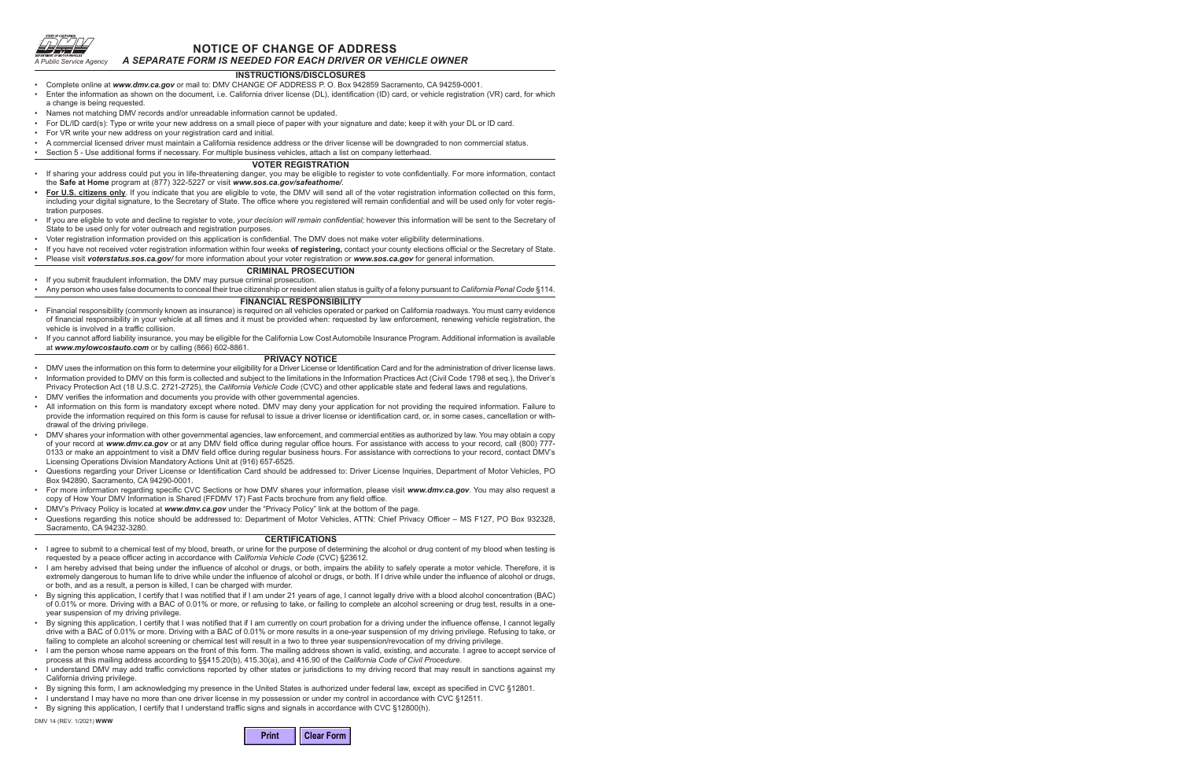

## **NOTICE OF CHANGE OF ADDRESS** *A SEPARATE FORM IS NEEDED FOR EACH DRIVER OR VEHICLE OWNER*

## **INSTRUCTIONS/DISCLOSURES**

- Complete online at *www.dmv.ca.gov* or mail to: DMV CHANGE OF ADDRESS P. O. Box 942859 Sacramento, CA 94259-0001.
- Enter the information as shown on the document, i.e. California driver license (DL), identification (ID) card, or vehicle registration (VR) card, for which a change is being requested.
- Names not matching DMV records and/or unreadable information cannot be updated.
- For DL/ID card(s): Type or write your new address on a small piece of paper with your signature and date; keep it with your DL or ID card.
- For VR write your new address on your registration card and initial.
- A commercial licensed driver must maintain a California residence address or the driver license will be downgraded to non commercial status.
- Section 5 Use additional forms if necessary. For multiple business vehicles, attach a list on company letterhead.

### **VOTER REGISTRATION**

- If sharing your address could put you in life-threatening danger, you may be eligible to register to vote confidentially. For more information, contact the **Safe at Home** program at (877) 322-5227 or visit *www.sos.ca.gov/safeathome/.*
- **• For U.S. citizens only**. If you indicate that you are eligible to vote, the DMV will send all of the voter registration information collected on this form, including your digital signature, to the Secretary of State. The office where you registered will remain confidential and will be used only for voter registration purposes.
- If you are eligible to vote and decline to register to vote, *your decision will remain confidential;* however this information will be sent to the Secretary of State to be used only for voter outreach and registration purposes.
- Voter registration information provided on this application is confidential. The DMV does not make voter eligibility determinations.
- If you have not received voter registration information within four weeks **of registering,** contact your county elections official or the Secretary of State. • Please visit *voterstatus.sos.ca.gov/* for more information about your voter registration or *www.sos.ca.gov* for general information.

## **CRIMINAL PROSECUTION**

- If you submit fraudulent information, the DMV may pursue criminal prosecution.
- Any person who uses false documents to conceal their true citizenship or resident alien status is guilty of a felony pursuant to *California Penal Code* §114.

#### **FINANCIAL RESPONSIBILITY**

- Financial responsibility (commonly known as insurance) is required on all vehicles operated or parked on California roadways. You must carry evidence of financial responsibility in your vehicle at all times and it must be provided when: requested by law enforcement, renewing vehicle registration, the vehicle is involved in a traffic collision.
- If you cannot afford liability insurance, you may be eligible for the California Low Cost Automobile Insurance Program. Additional information is available at *www.mylowcostauto.com* or by calling (866) 602-8861.

#### **PRIVACY NOTICE**

- DMV uses the information on this form to determine your eligibility for a Driver License or Identification Card and for the administration of driver license laws.
- Information provided to DMV on this form is collected and subject to the limitations in the Information Practices Act (Civil Code 1798 et seq.), the Driver's Privacy Protection Act (18 U.S.C. 2721-2725), the *California Vehicle Code* (CVC) and other applicable state and federal laws and regulations.
- DMV verifies the information and documents you provide with other governmental agencies.
- All information on this form is mandatory except where noted. DMV may deny your application for not providing the required information. Failure to provide the information required on this form is cause for refusal to issue a driver license or identification card, or, in some cases, cancellation or withdrawal of the driving privilege.
- DMV shares your information with other governmental agencies, law enforcement, and commercial entities as authorized by law. You may obtain a copy of your record at *www.dmv.ca.gov* or at any DMV field office during regular office hours. For assistance with access to your record, call (800) 777- 0133 or make an appointment to visit a DMV field office during regular business hours. For assistance with corrections to your record, contact DMV's Licensing Operations Division Mandatory Actions Unit at (916) 657-6525.
- Questions regarding your Driver License or Identification Card should be addressed to: Driver License Inquiries, Department of Motor Vehicles, PO Box 942890, Sacramento, CA 94290-0001.
- For more information regarding specific CVC Sections or how DMV shares your information, please visit *www.dmv.ca.gov*. You may also request a copy of How Your DMV Information is Shared (FFDMV 17) Fast Facts brochure from any field office.
- DMV's Privacy Policy is located at *www.dmv.ca.gov* under the "Privacy Policy" link at the bottom of the page.
- Questions regarding this notice should be addressed to: Department of Motor Vehicles, ATTN: Chief Privacy Officer MS F127, PO Box 932328, Sacramento, CA 94232-3280.

### **CERTIFICATIONS**

- I agree to submit to a chemical test of my blood, breath, or urine for the purpose of determining the alcohol or drug content of my blood when testing is requested by a peace officer acting in accordance with *California Vehicle Code* (CVC) §23612.
- I am hereby advised that being under the influence of alcohol or drugs, or both, impairs the ability to safely operate a motor vehicle. Therefore, it is extremely dangerous to human life to drive while under the influence of alcohol or drugs, or both. If I drive while under the influence of alcohol or drugs, or both, and as a result, a person is killed, I can be charged with murder.
- By signing this application, I certify that I was notified that if I am under 21 years of age, I cannot legally drive with a blood alcohol concentration (BAC) of 0.01% or more. Driving with a BAC of 0.01% or more, or refusing to take, or failing to complete an alcohol screening or drug test, results in a oneyear suspension of my driving privilege.
- By signing this application, I certify that I was notified that if I am currently on court probation for a driving under the influence offense, I cannot legally drive with a BAC of 0.01% or more. Driving with a BAC of 0.01% or more results in a one-year suspension of my driving privilege. Refusing to take, or failing to complete an alcohol screening or chemical test will result in a two to three year suspension/revocation of my driving privilege.
- I am the person whose name appears on the front of this form. The mailing address shown is valid, existing, and accurate. I agree to accept service of process at this mailing address according to §§415.20(b), 415.30(a), and 416.90 of the *California Code of Civil Procedure*.
- I understand DMV may add traffic convictions reported by other states or jurisdictions to my driving record that may result in sanctions against my California driving privilege.
- By signing this form, I am acknowledging my presence in the United States is authorized under federal law, except as specified in CVC §12801.
- I understand I may have no more than one driver license in my possession or under my control in accordance with CVC §12511.
- By signing this application, I certify that I understand traffic signs and signals in accordance with CVC §12800(h).

DMV 14 (REV. 1/2021) **WWW**

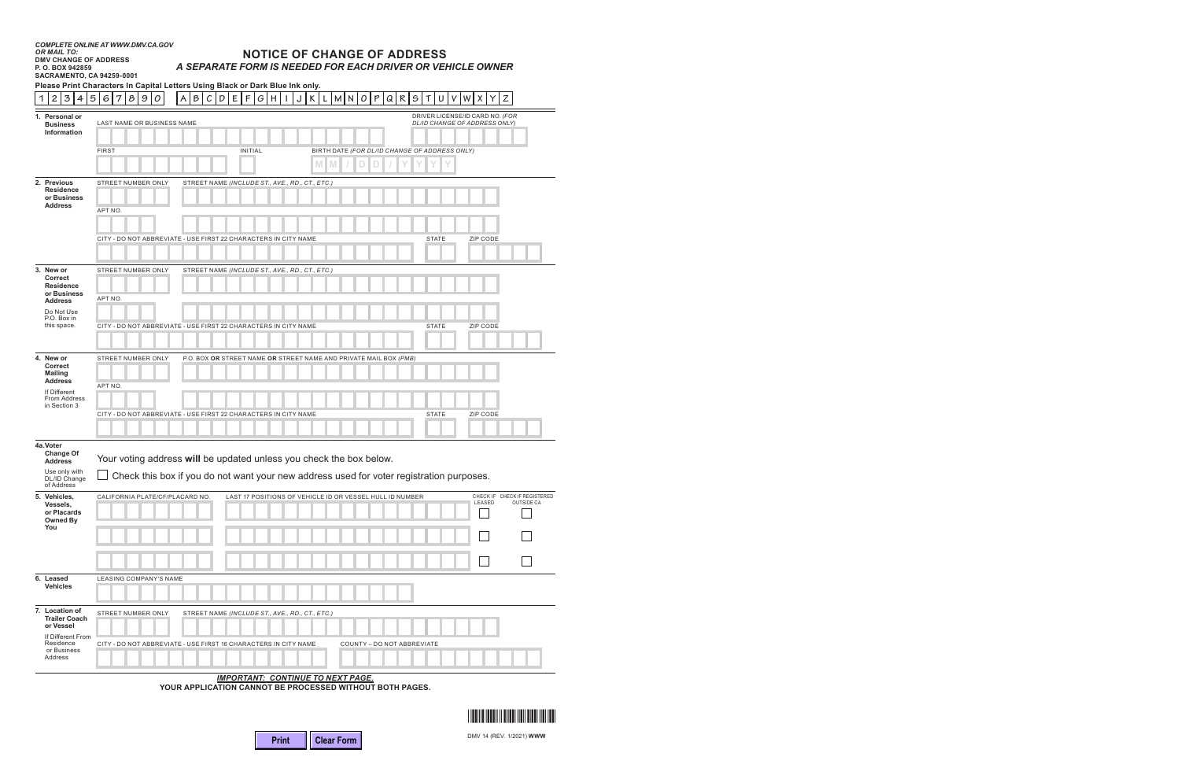# **NOTICE OF CHANGE OF ADDRESS** *A SEPARATE FORM IS NEEDED FOR EACH DRIVER OR VEHICLE OWNER*

| <b>SACRAMENTO, CA 94259-0001</b><br>Please Print Characters In Capital Letters Using Black or Dark Blue Ink only. |                                                     |                                                                                         |                                                                                          |                                                          |                                        |                                            |  |  |  |  |
|-------------------------------------------------------------------------------------------------------------------|-----------------------------------------------------|-----------------------------------------------------------------------------------------|------------------------------------------------------------------------------------------|----------------------------------------------------------|----------------------------------------|--------------------------------------------|--|--|--|--|
| $\mathbf{1}$                                                                                                      | $\,$ 3 $\,$<br>$\mathbf{2}$<br>5<br>4               | 8 9<br>${\cal O}$<br>6<br>7                                                             | B<br>E<br>$\mathsf F$<br>$\mathcal{G}$<br>A<br>$\cal C$<br>D<br>  H                      | Κ<br>${\sf M}$<br>P<br>Q R<br>${\sf N}$<br>O<br>J<br>L   | $\mathfrak S$<br>U<br>V<br>W<br>Т<br>х | Ζ                                          |  |  |  |  |
|                                                                                                                   | 1. Personal or                                      |                                                                                         |                                                                                          |                                                          | DRIVER LICENSE/ID CARD NO. (FOR        |                                            |  |  |  |  |
|                                                                                                                   | <b>Business</b><br>Information                      | LAST NAME OR BUSINESS NAME<br>DL/ID CHANGE OF ADDRESS ONLY)                             |                                                                                          |                                                          |                                        |                                            |  |  |  |  |
|                                                                                                                   |                                                     |                                                                                         |                                                                                          |                                                          |                                        |                                            |  |  |  |  |
|                                                                                                                   |                                                     | <b>FIRST</b>                                                                            | <b>INITIAL</b>                                                                           | BIRTH DATE (FOR DL/ID CHANGE OF ADDRESS ONLY)            |                                        |                                            |  |  |  |  |
|                                                                                                                   |                                                     |                                                                                         |                                                                                          |                                                          |                                        |                                            |  |  |  |  |
|                                                                                                                   | 2. Previous<br><b>Residence</b><br>or Business      | STREET NUMBER ONLY                                                                      | STREET NAME (INCLUDE ST., AVE., RD., CT., ETC.)                                          |                                                          |                                        |                                            |  |  |  |  |
|                                                                                                                   | <b>Address</b>                                      | APT NO.                                                                                 |                                                                                          |                                                          |                                        |                                            |  |  |  |  |
|                                                                                                                   |                                                     |                                                                                         |                                                                                          |                                                          |                                        |                                            |  |  |  |  |
|                                                                                                                   |                                                     |                                                                                         | CITY - DO NOT ABBREVIATE - USE FIRST 22 CHARACTERS IN CITY NAME                          |                                                          | ZIP CODE<br><b>STATE</b>               |                                            |  |  |  |  |
|                                                                                                                   |                                                     |                                                                                         |                                                                                          |                                                          |                                        |                                            |  |  |  |  |
|                                                                                                                   | 3. New or<br>Correct                                | STREET NUMBER ONLY<br>STREET NAME (INCLUDE ST., AVE., RD., CT., ETC.)                   |                                                                                          |                                                          |                                        |                                            |  |  |  |  |
|                                                                                                                   | <b>Residence</b>                                    |                                                                                         |                                                                                          |                                                          |                                        |                                            |  |  |  |  |
|                                                                                                                   | or Business<br><b>Address</b>                       | APT NO.                                                                                 |                                                                                          |                                                          |                                        |                                            |  |  |  |  |
|                                                                                                                   | Do Not Use<br>P.O. Box in                           |                                                                                         |                                                                                          |                                                          |                                        |                                            |  |  |  |  |
|                                                                                                                   | this space.                                         |                                                                                         | CITY - DO NOT ABBREVIATE - USE FIRST 22 CHARACTERS IN CITY NAME                          |                                                          | ZIP CODE<br><b>STATE</b>               |                                            |  |  |  |  |
|                                                                                                                   |                                                     |                                                                                         |                                                                                          |                                                          |                                        |                                            |  |  |  |  |
|                                                                                                                   | 4. New or<br><b>Correct</b><br><b>Mailing</b>       | STREET NUMBER ONLY<br>P.O. BOX OR STREET NAME OR STREET NAME AND PRIVATE MAIL BOX (PMB) |                                                                                          |                                                          |                                        |                                            |  |  |  |  |
|                                                                                                                   | <b>Address</b><br>If Different                      | APT NO.                                                                                 |                                                                                          |                                                          |                                        |                                            |  |  |  |  |
|                                                                                                                   | From Address<br>in Section 3                        |                                                                                         |                                                                                          |                                                          |                                        |                                            |  |  |  |  |
|                                                                                                                   |                                                     |                                                                                         | CITY - DO NOT ABBREVIATE - USE FIRST 22 CHARACTERS IN CITY NAME                          |                                                          | <b>STATE</b><br>ZIP CODE               |                                            |  |  |  |  |
|                                                                                                                   |                                                     |                                                                                         |                                                                                          |                                                          |                                        |                                            |  |  |  |  |
|                                                                                                                   | 4a.Voter<br><b>Change Of</b><br><b>Address</b>      |                                                                                         | Your voting address will be updated unless you check the box below.                      |                                                          |                                        |                                            |  |  |  |  |
|                                                                                                                   | Use only with<br>DL/ID Change<br>of Address         |                                                                                         | Check this box if you do not want your new address used for voter registration purposes. |                                                          |                                        |                                            |  |  |  |  |
|                                                                                                                   | 5. Vehicles,<br>Vessels,                            | CALIFORNIA PLATE/CF/PLACARD NO.                                                         |                                                                                          | LAST 17 POSITIONS OF VEHICLE ID OR VESSEL HULL ID NUMBER | LEASED                                 | CHECK IF CHECK IF REGISTERED<br>OUTSIDE CA |  |  |  |  |
|                                                                                                                   | or Placards<br>Owned By<br>You                      |                                                                                         |                                                                                          |                                                          |                                        |                                            |  |  |  |  |
|                                                                                                                   |                                                     |                                                                                         |                                                                                          |                                                          |                                        |                                            |  |  |  |  |
|                                                                                                                   |                                                     |                                                                                         |                                                                                          |                                                          |                                        |                                            |  |  |  |  |
|                                                                                                                   | 6. Leased<br><b>Vehicles</b>                        | LEASING COMPANY'S NAME                                                                  |                                                                                          |                                                          |                                        |                                            |  |  |  |  |
|                                                                                                                   |                                                     |                                                                                         |                                                                                          |                                                          |                                        |                                            |  |  |  |  |
|                                                                                                                   | 7. Location of<br><b>Trailer Coach</b><br>or Vessel | STREET NUMBER ONLY                                                                      | STREET NAME (INCLUDE ST., AVE., RD., CT., ETC.)                                          |                                                          |                                        |                                            |  |  |  |  |
|                                                                                                                   | If Different From<br>Residence<br>or Business       |                                                                                         | CITY - DO NOT ABBREVIATE - USE FIRST 16 CHARACTERS IN CITY NAME                          | COUNTY - DO NOT ABBREVIATE                               |                                        |                                            |  |  |  |  |
|                                                                                                                   | Address                                             |                                                                                         |                                                                                          |                                                          |                                        |                                            |  |  |  |  |

*IMPORTANT: CONTINUE TO NEXT PAGE.*

**YOUR APPLICATION CANNOT BE PROCESSED WITHOUT BOTH PAGES.**



DMV 14 (REV. 1/2021) **WWW**

| <b>Hear Form</b> |  |
|------------------|--|
|------------------|--|